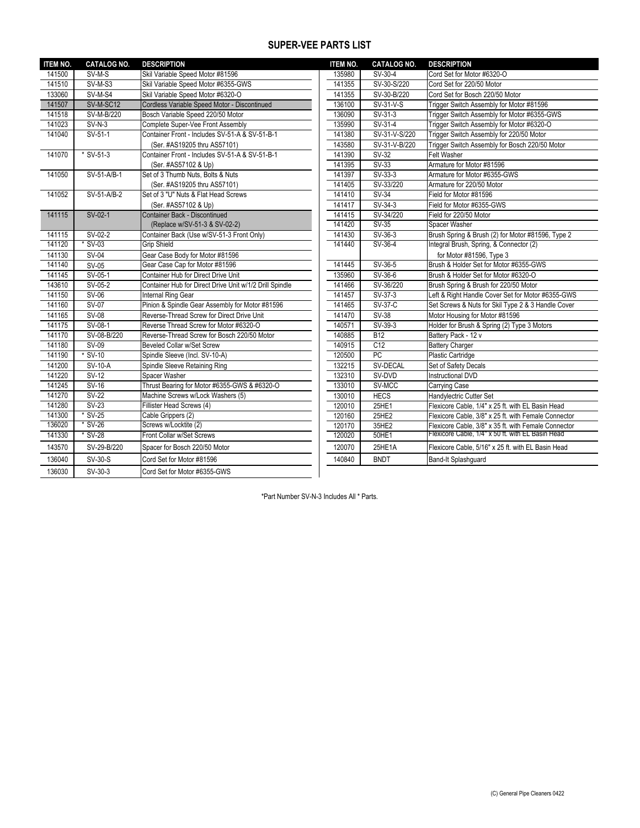## **SUPER-VEE PARTS LIST**

| <b>ITEM NO.</b> | <b>CATALOG NO.</b> | <b>DESCRIPTION</b>                                      | <b>ITEM NO.</b> | <b>CATALOG NO.</b> | <b>DESCRIPTION</b>                                   |
|-----------------|--------------------|---------------------------------------------------------|-----------------|--------------------|------------------------------------------------------|
| 141500          | SV-M-S             | Skil Variable Speed Motor #81596                        | 135980          | SV-30-4            | Cord Set for Motor #6320-O                           |
| 141510          | SV-M-S3            | Skil Variable Speed Motor #6355-GWS                     | 141355          | SV-30-S/220        | Cord Set for 220/50 Motor                            |
| 133060          | SV-M-S4            | Skil Variable Speed Motor #6320-O                       | 141355          | SV-30-B/220        | Cord Set for Bosch 220/50 Motor                      |
| 141507          | SV-M-SC12          | Cordless Variable Speed Motor - Discontinued            | 136100          | SV-31-V-S          | Trigger Switch Assembly for Motor #81596             |
| 141518          | SV-M-B/220         | Bosch Variable Speed 220/50 Motor                       | 136090          | SV-31-3            | Trigger Switch Assembly for Motor #6355-GWS          |
| 141023          | $SV-N-3$           | Complete Super-Vee Front Assembly                       | 135990          | $SV-31-4$          | Trigger Switch Assembly for Motor #6320-O            |
| 141040          | SV-51-1            | Container Front - Includes SV-51-A & SV-51-B-1          | 141380          | SV-31-V-S/220      | Trigger Switch Assembly for 220/50 Motor             |
|                 |                    | (Ser. #AS19205 thru AS57101)                            | 143580          | SV-31-V-B/220      | Trigger Switch Assembly for Bosch 220/50 Motor       |
| 141070          | * SV-51-3          | Container Front - Includes SV-51-A & SV-51-B-1          | 141390          | SV-32              | Felt Washer                                          |
|                 |                    | (Ser. #AS57102 & Up)                                    | 141395          | $SV-33$            | Armature for Motor #81596                            |
| 141050          | SV-51-A/B-1        | Set of 3 Thumb Nuts, Bolts & Nuts                       | 141397          | $SV-33-3$          | Armature for Motor #6355-GWS                         |
|                 |                    | (Ser. #AS19205 thru AS57101)                            | 141405          | SV-33/220          | Armature for 220/50 Motor                            |
| 141052          | SV-51-A/B-2        | Set of 3 "U" Nuts & Flat Head Screws                    | 141410          | <b>SV-34</b>       | Field for Motor #81596                               |
|                 |                    | (Ser. #AS57102 & Up)                                    | 141417          | SV-34-3            | Field for Motor #6355-GWS                            |
| 141115          | SV-02-1            | Container Back - Discontinued                           | 141415          | SV-34/220          | Field for 220/50 Motor                               |
|                 |                    | (Replace w/SV-51-3 & SV-02-2)                           | 141420          | $SV-35$            | Spacer Washer                                        |
| 141115          | SV-02-2            | Container Back (Use w/SV-51-3 Front Only)               | 141430          | SV-36-3            | Brush Spring & Brush (2) for Motor #81596, Type 2    |
| 141120          | $*$ SV-03          | <b>Grip Shield</b>                                      | 141440          | SV-36-4            | Integral Brush, Spring, & Connector (2)              |
| 141130          | SV-04              | Gear Case Body for Motor #81596                         |                 |                    | for Motor #81596, Type 3                             |
| 141140          | $SV-05$            | Gear Case Cap for Motor #81596                          | 141445          | SV-36-5            | Brush & Holder Set for Motor #6355-GWS               |
| 141145          | SV-05-1            | Container Hub for Direct Drive Unit                     | 135960          | SV-36-6            | Brush & Holder Set for Motor #6320-O                 |
| 143610          | $SV-05-2$          | Container Hub for Direct Drive Unit w/1/2 Drill Spindle | 141466          | SV-36/220          | Brush Spring & Brush for 220/50 Motor                |
| 141150          | $SV-06$            | Internal Ring Gear                                      | 141457          | SV-37-3            | Left & Right Handle Cover Set for Motor #6355-GWS    |
| 141160          | $SV-07$            | Pinion & Spindle Gear Assembly for Motor #81596         | 141465          | <b>SV-37-C</b>     | Set Screws & Nuts for Skil Type 2 & 3 Handle Cover   |
| 141165          | $SV-08$            | Reverse-Thread Screw for Direct Drive Unit              | 141470          | $SV-38$            | Motor Housing for Motor #81596                       |
| 141175          | SV-08-1            | Reverse Thread Screw for Motor #6320-O                  | 140571          | SV-39-3            | Holder for Brush & Spring (2) Type 3 Motors          |
| 141170          | SV-08-B/220        | Reverse-Thread Screw for Bosch 220/50 Motor             | 140885          | <b>B12</b>         | Battery Pack - 12 v                                  |
| 141180          | SV-09              | Beveled Collar w/Set Screw                              | 140915          | C12                | <b>Battery Charger</b>                               |
| 141190          | $*$ SV-10          | Spindle Sleeve (Incl. SV-10-A)                          | 120500          | PC                 | <b>Plastic Cartridge</b>                             |
| 141200          | SV-10-A            | Spindle Sleeve Retaining Ring                           | 132215          | SV-DECAL           | Set of Safety Decals                                 |
| 141220          | SV-12              | Spacer Washer                                           | 132310          | SV-DVD             | Instructional DVD                                    |
| 141245          | $SV-16$            | Thrust Bearing for Motor #6355-GWS & #6320-O            | 133010          | SV-MCC             | Carrying Case                                        |
| 141270          | $SV-22$            | Machine Screws w/Lock Washers (5)                       | 130010          | <b>HECS</b>        | Handylectric Cutter Set                              |
| 141280          | <b>SV-23</b>       | Fillister Head Screws (4)                               | 120010          | 25HE1              | Flexicore Cable, 1/4" x 25 ft. with EL Basin Head    |
| 141300          | $*$ SV-25          | Cable Grippers (2)                                      | 120160          | 25HE2              | Flexicore Cable, 3/8" x 25 ft. with Female Connector |
| 136020          | $*$ SV-26          | Screws w/Locktite (2)                                   | 120170          | 35HE2              | Flexicore Cable, 3/8" x 35 ft. with Female Connector |
| 141330          | * SV-28            | Front Collar w/Set Screws                               | 120020          | 50HE1              | Flexicore Cable, 1/4" x 50 ft. with EL Basin Head    |
| 143570          | SV-29-B/220        | Spacer for Bosch 220/50 Motor                           | 120070          | 25HE1A             | Flexicore Cable, 5/16" x 25 ft. with EL Basin Head   |
| 136040          | SV-30-S            | Cord Set for Motor #81596                               | 140840          | <b>BNDT</b>        | Band-It Splashquard                                  |
| 136030          | SV-30-3            | Cord Set for Motor #6355-GWS                            |                 |                    |                                                      |

\*Part Number SV-N-3 Includes All \* Parts.